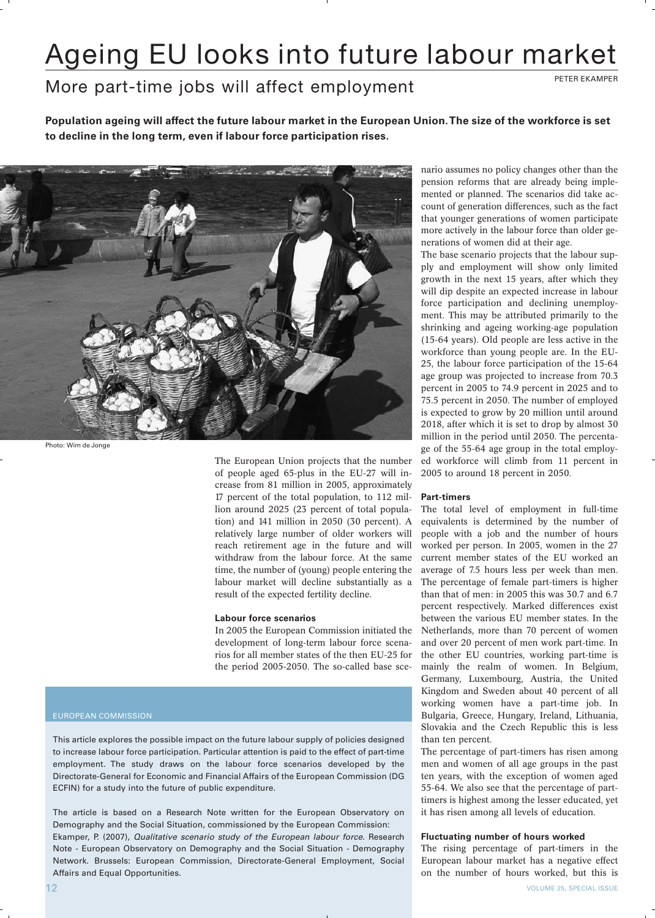# Ageing EU looks into future labour market

# More part-time jobs will affect employment

**Population ageing will affect the future labour market in the European Union.The size of the workforce is set to decline in the long term, even if labour force participation rises.**



Photo: Wim de Jonge

The European Union projects that the number of people aged 65-plus in the EU-27 will increase from 81 million in 2005, approximately 17 percent of the total population, to 112 million around 2025 (23 percent of total population) and 141 million in 2050 (30 percent). A relatively large number of older workers will reach retirement age in the future and will withdraw from the labour force. At the same time, the number of (young) people entering the labour market will decline substantially as a result of the expected fertility decline.

### **Labour force scenarios**

In 2005 the European Commission initiated the development of long-term labour force scenarios for all member states of the then EU-25 for the period 2005-2050. The so-called base sce-

### EUROPEAN COMMISSION

This article explores the possible impact on the future labour supply of policies designed to increase labour force participation. Particular attention is paid to the effect of part-time employment. The study draws on the labour force scenarios developed by the Directorate-General for Economic and Financial Affairs of the European Commission (DG ECFIN) for a study into the future of public expenditure.

The article is based on a Research Note written for the European Observatory on Demography and the Social Situation, commissioned by the European Commission: Ekamper, P. (2007), Qualitative scenario study of the European labour force. Research Note - European Observatory on Demography and the Social Situation - Demography Network. Brussels: European Commission, Directorate-General Employment, Social Affairs and Equal Opportunities.

nario assumes no policy changes other than the pension reforms that are already being implemented or planned. The scenarios did take account of generation differences, such as the fact that younger generations of women participate more actively in the labour force than older generations of women did at their age.

The base scenario projects that the labour supply and employment will show only limited growth in the next 15 years, after which they will dip despite an expected increase in labour force participation and declining unemployment. This may be attributed primarily to the shrinking and ageing working-age population (15-64 years). Old people are less active in the workforce than young people are. In the EU-25, the labour force participation of the 15-64 age group was projected to increase from 70.3 percent in 2005 to 74.9 percent in 2025 and to 75.5 percent in 2050. The number of employed is expected to grow by 20 million until around 2018, after which it is set to drop by almost 30 million in the period until 2050. The percentage of the 55-64 age group in the total employed workforce will climb from 11 percent in 2005 to around 18 percent in 2050.

### **Part-timers**

The total level of employment in full-time equivalents is determined by the number of people with a job and the number of hours worked per person. In 2005, women in the 27 current member states of the EU worked an average of 7.5 hours less per week than men. The percentage of female part-timers is higher than that of men: in 2005 this was 30.7 and 6.7 percent respectively. Marked differences exist between the various EU member states. In the Netherlands, more than 70 percent of women and over 20 percent of men work part-time. In the other EU countries, working part-time is mainly the realm of women. In Belgium, Germany, Luxembourg, Austria, the United Kingdom and Sweden about 40 percent of all working women have a part-time job. In Bulgaria, Greece, Hungary, Ireland, Lithuania, Slovakia and the Czech Republic this is less than ten percent.

The percentage of part-timers has risen among men and women of all age groups in the past ten years, with the exception of women aged 55-64. We also see that the percentage of parttimers is highest among the lesser educated, yet it has risen among all levels of education.

## **Fluctuating number of hours worked**

The rising percentage of part-timers in the European labour market has a negative effect on the number of hours worked, but this is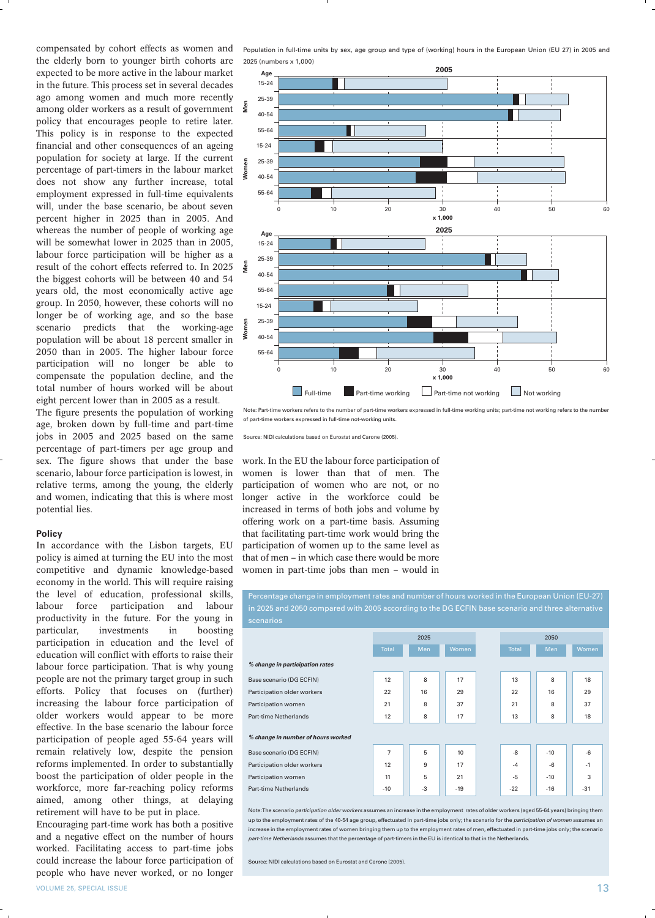the elderly born to younger birth cohorts are expected to be more active in the labour market in the future. This process set in several decades ago among women and much more recently among older workers as a result of government policy that encourages people to retire later. This policy is in response to the expected financial and other consequences of an ageing population for society at large. If the current percentage of part-timers in the labour market does not show any further increase, total employment expressed in full-time equivalents will, under the base scenario, be about seven percent higher in 2025 than in 2005. And whereas the number of people of working age will be somewhat lower in 2025 than in 2005, labour force participation will be higher as a result of the cohort effects referred to. In 2025 the biggest cohorts will be between 40 and 54 years old, the most economically active age group. In 2050, however, these cohorts will no longer be of working age, and so the base scenario predicts that the working-age population will be about 18 percent smaller in 2050 than in 2005. The higher labour force participation will no longer be able to compensate the population decline, and the total number of hours worked will be about eight percent lower than in 2005 as a result.

The figure presents the population of working age, broken down by full-time and part-time jobs in 2005 and 2025 based on the same percentage of part-timers per age group and sex. The figure shows that under the base scenario, labour force participation is lowest, in relative terms, among the young, the elderly and women, indicating that this is where most potential lies.

### **Policy**

In accordance with the Lisbon targets, EU policy is aimed at turning the EU into the most competitive and dynamic knowledge-based economy in the world. This will require raising the level of education, professional skills, labour force participation and labour productivity in the future. For the young in particular, investments in boosting participation in education and the level of education will conflict with efforts to raise their labour force participation. That is why young people are not the primary target group in such efforts. Policy that focuses on (further) increasing the labour force participation of older workers would appear to be more effective. In the base scenario the labour force participation of people aged 55-64 years will remain relatively low, despite the pension reforms implemented. In order to substantially boost the participation of older people in the workforce, more far-reaching policy reforms aimed, among other things, at delaying retirement will have to be put in place.

Encouraging part-time work has both a positive and a negative effect on the number of hours worked. Facilitating access to part-time jobs could increase the labour force participation of people who have never worked, or no longer

compensated by cohort effects as women and Population in full-time units by sex, age group and type of (working) hours in the European Union (EU 27) in 2005 and 2025 (numbers x 1,000)



Note: Part-time workers refers to the number of part-time workers expressed in full-time working units; part-time not working refers to the number of part-time workers expressed in full-time not-working units.

Source: NIDI calculations based on Eurostat and Carone (2005).

work. In the EU the labour force participation of women is lower than that of men. The participation of women who are not, or no longer active in the workforce could be increased in terms of both jobs and volume by offering work on a part-time basis. Assuming that facilitating part-time work would bring the participation of women up to the same level as that of men – in which case there would be more women in part-time jobs than men – would in

Percentage change in employment rates and number of hours worked in the European Union (EU-27)

|                                    | 2025           |      |       |  | 2050         |       |       |
|------------------------------------|----------------|------|-------|--|--------------|-------|-------|
|                                    | <b>Total</b>   | Men  | Women |  | <b>Total</b> | Men   | Women |
| % change in participation rates    |                |      |       |  |              |       |       |
| Base scenario (DG ECFIN)           | 12             | 8    | 17    |  | 13           | 8     | 18    |
| Participation older workers        | 22             | 16   | 29    |  | 22           | 16    | 29    |
| Participation women                | 21             | 8    | 37    |  | 21           | 8     | 37    |
| <b>Part-time Netherlands</b>       | 12             | 8    | 17    |  | 13           | 8     | 18    |
| % change in number of hours worked |                |      |       |  |              |       |       |
| Base scenario (DG ECFIN)           | $\overline{7}$ | 5    | 10    |  | -8           | $-10$ | $-6$  |
| Participation older workers        | 12             | 9    | 17    |  | $-4$         | $-6$  | $-1$  |
| Participation women                | 11             | 5    | 21    |  | $-5$         | $-10$ | 3     |
| <b>Part-time Netherlands</b>       | $-10$          | $-3$ | $-19$ |  | $-22$        | $-16$ | $-31$ |

Note: The scenario participation older workers assumes an increase in the employment rates of older workers (aged 55-64 years) bringing them up to the employment rates of the 40-54 age group, effectuated in part-time jobs only; the scenario for the *participation of women* ass increase in the employment rates of women bringing them up to the employment rates of men, effectuated in part-time jobs only; the scenario part-time Netherlands assumes that the percentage of part-timers in the EU is identical to that in the Netherlands

Source: NIDI calculations based on Eurostat and Carone (2005).